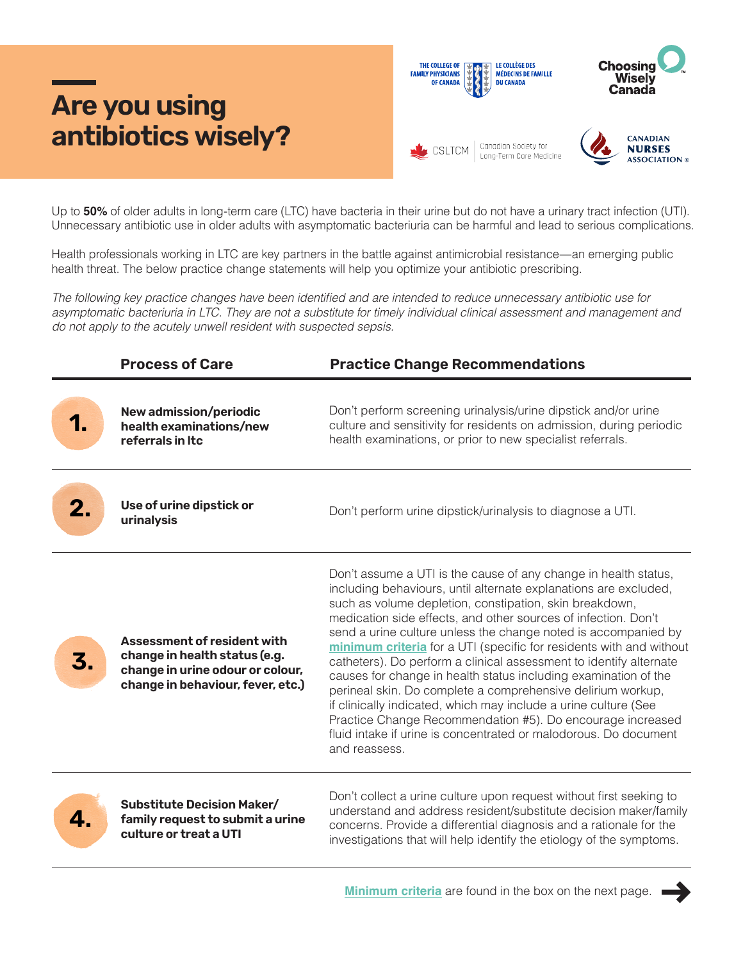## **Are you using antibiotics wisely?**



Up to **50%** of older adults in long-term care (LTC) have bacteria in their urine but do not have a urinary tract infection (UTI). Unnecessary antibiotic use in older adults with asymptomatic bacteriuria can be harmful and lead to serious complications.

Health professionals working in LTC are key partners in the battle against antimicrobial resistance—an emerging public health threat. The below practice change statements will help you optimize your antibiotic prescribing.

The following key practice changes have been identified and are intended to reduce unnecessary antibiotic use for asymptomatic bacteriuria in LTC. They are not a substitute for timely individual clinical assessment and management and do not apply to the acutely unwell resident with suspected sepsis.

|    | <b>Process of Care</b>                                                                                                                       | <b>Practice Change Recommendations</b>                                                                                                                                                                                                                                                                                                                                                                                                                                                                                                                                                                                                                                                                                                                                                                                                  |  |  |
|----|----------------------------------------------------------------------------------------------------------------------------------------------|-----------------------------------------------------------------------------------------------------------------------------------------------------------------------------------------------------------------------------------------------------------------------------------------------------------------------------------------------------------------------------------------------------------------------------------------------------------------------------------------------------------------------------------------------------------------------------------------------------------------------------------------------------------------------------------------------------------------------------------------------------------------------------------------------------------------------------------------|--|--|
|    | New admission/periodic<br>health examinations/new<br>referrals in Itc                                                                        | Don't perform screening urinalysis/urine dipstick and/or urine<br>culture and sensitivity for residents on admission, during periodic<br>health examinations, or prior to new specialist referrals.                                                                                                                                                                                                                                                                                                                                                                                                                                                                                                                                                                                                                                     |  |  |
|    | Use of urine dipstick or<br>urinalysis                                                                                                       | Don't perform urine dipstick/urinalysis to diagnose a UTI.                                                                                                                                                                                                                                                                                                                                                                                                                                                                                                                                                                                                                                                                                                                                                                              |  |  |
| 3. | <b>Assessment of resident with</b><br>change in health status (e.g.<br>change in urine odour or colour,<br>change in behaviour, fever, etc.) | Don't assume a UTI is the cause of any change in health status,<br>including behaviours, until alternate explanations are excluded,<br>such as volume depletion, constipation, skin breakdown,<br>medication side effects, and other sources of infection. Don't<br>send a urine culture unless the change noted is accompanied by<br>minimum criteria for a UTI (specific for residents with and without<br>catheters). Do perform a clinical assessment to identify alternate<br>causes for change in health status including examination of the<br>perineal skin. Do complete a comprehensive delirium workup,<br>if clinically indicated, which may include a urine culture (See<br>Practice Change Recommendation #5). Do encourage increased<br>fluid intake if urine is concentrated or malodorous. Do document<br>and reassess. |  |  |
|    | <b>Substitute Decision Maker/</b><br>family request to submit a urine<br>culture or treat a UTI                                              | Don't collect a urine culture upon request without first seeking to<br>understand and address resident/substitute decision maker/family<br>concerns. Provide a differential diagnosis and a rationale for the<br>investigations that will help identify the etiology of the symptoms.                                                                                                                                                                                                                                                                                                                                                                                                                                                                                                                                                   |  |  |